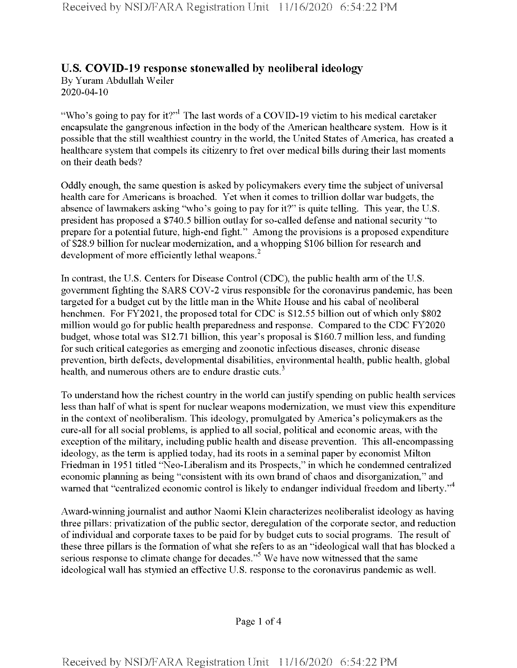## **U.S. COVID-19 response stonewalled by neoliberal ideology**

By Yuram Abdullah Weiler 2020-04-10

"Who's going to pay for it?"<sup>1</sup> The last words of a COVID-19 victim to his medical caretaker encapsulate the gangrenous infection in the body of the American healthcare system. How is it possible that the still wealthiest country in the world, the United States of America, has created a healthcare system that compels its citizenry to fret over medical bills during their last moments on their death beds?

Oddly enough, the same question is asked by policymakers every time the subject of universal health care for Americans is broached. Yet when it comes to trillion dollar war budgets, the absence of lawmakers asking "who's going to pay for it?" is quite telling. This year, the U.S. president has proposed a \$740.5 billion outlay for so-called defense and national security "to prepare for a potential future, high-end fight." Among the provisions is a proposed expenditure of \$28.9 billion for nuclear modernization, and a whopping \$106 billion for research and development of more efficiently lethal weapons.<sup>2</sup>

In contrast, the U.S. Centers for Disease Control (CDC), the public health arm of the U.S. government fighting the SARS COV-2 virus responsible for the coronavirus pandemic, has been targeted for a budget cut by the little man in the White House and his cabal of neoliberal henchmen. For FY2021, the proposed total for CDC is \$12.55 billion out of which only \$802 million would go for public health preparedness and response. Compared to the CDC FY2020 budget, whose total was \$12.71 billion, this year's proposal is \$160.7 million less, and funding for such critical categories as emerging and zoonotic infectious diseases, chronic disease prevention, birth defects, developmental disabilities, environmental health, public health, global health, and numerous others are to endure drastic cuts.<sup>3</sup>

To understand how the richest country in the world can justify spending on public health services less than half of what is spent for nuclear weapons modernization, we must view this expenditure in the context of neoliberalism. This ideology, promulgated by America's policymakers as the cure-all for all social problems, is applied to all social, political and economic areas, with the exception of the military, including public health and disease prevention. This all-encompassing ideology, as the term is applied today, had its roots in a seminal paper by economist Milton Friedman in 1951 titled "Neo-Liberalism and its Prospects," in which he condemned centralized economic planning as being "consistent with its own brand of chaos and disorganization," and warned that "centralized economic control is likely to endanger individual freedom and liberty."<sup>4</sup>

Award-winning journalist and author Naomi Klein characterizes neoliberalist ideology as having three pillars: privatization of the public sector, deregulation of the corporate sector, and reduction of individual and corporate taxes to be paid for by budget cuts to social programs. The result of these three pillars is the formation of what she refers to as an "ideological wall that has blocked a serious response to climate change for decades."<sup>5</sup> We have now witnessed that the same ideological wall has stymied an effective U.S. response to the coronavirus pandemic as well.

Page <sup>1</sup> of 4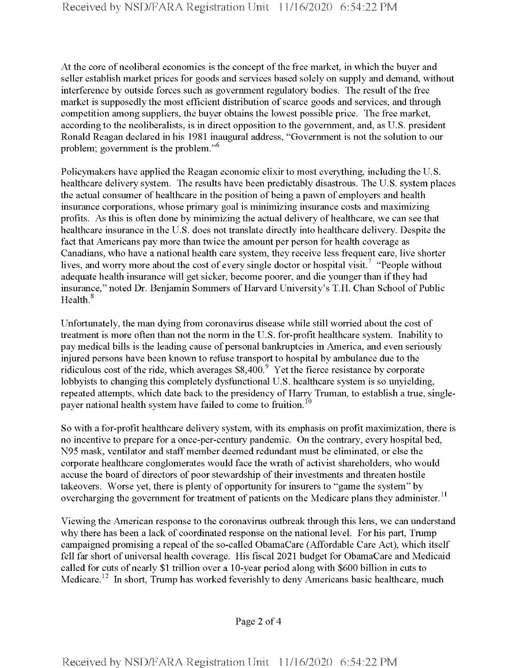At the core of neoliberal economics is the concept of the free market, in which the buyer and seller establish market prices for goods and services based solely on supply and demand, without interference by outside forces such as government regulatory bodies. The result of the free market is supposedly the most efficient distribution of scarce goods and services, and through competition among suppliers, the buyer obtains the lowest possible price. The free market, according to the neoliberalists, is in direct opposition to the government, and, as U. S. president Ronald Reagan declared in his 1981 inaugural address, "Government is not the solution to our problem; government is the problem."6

Policymakers have applied the Reagan economic elixir to most everything, including the U. S. healthcare delivery system. The results have been predictably disastrous. The U.S. system places the actual consumer of healthcare in the position of being a pawn of employers and health insurance corporations, whose primary goal is minimizing insurance costs and maximizing profits. As this is often done by minimizing the actual delivery of healthcare, we can see that healthcare insurance in the U.S. does not translate directly into healthcare delivery. Despite the fact that Americans pay more than twice the amount per person for health coverage as Canadians, who have a national health care system, they receive less frequent care, live shorter lives, and worry more about the cost of every single doctor or hospital visit.<sup>7</sup> "People without adequate health insurance will get sicker, become poorer, and die younger than if they had insurance," noted Dr. Benjamin Sommers of Harvard University's T.H. Chan School of Public Health.<sup>8</sup>

Unfortunately, the man dying from coronavirus disease while still worried about the cost of treatment is more often than not the norm in the U.S. for-profit healthcare system. Inability to pay medical bills is the leading cause of personal bankruptcies in America, and even seriously injured persons have been known to refuse transport to hospital by ambulance due to the ridiculous cost of the ride, which averages  $$8,400.<sup>9</sup>$  Yet the fierce resistance by corporate lobbyists to changing this completely dysfunctional U.S. healthcare system is so unyielding, repeated attempts, which date back to the presidency of Harry Truman, to establish a true, singlepayer national health system have failed to come to fruition.<sup>10</sup>

So with a for-profit healthcare delivery system, with its emphasis on profit maximization, there is no incentive to prepare for a once-per-century pandemic. On the contrary, every hospital bed, N95 mask, ventilator and staff member deemed redundant must be eliminated, or else the corporate healthcare conglomerates would face the wrath of activist shareholders, who would accuse the board of directors of poor stewardship of their investments and threaten hostile takeovers. Worse yet, there is plenty of opportunity for insurers to "game the system" by overcharging the government for treatment of patients on the Medicare plans they administer.<sup>11</sup>

Viewing the American response to the coronavirus outbreak through this lens, we can understand why there has been a lack of coordinated response on the national level. For his part, Trump campaigned promising a repeal of the so-called ObamaCare (Affordable Care Act), which itself fell far short of universal health coverage. His fiscal 2021 budget for ObamaCare and Medicaid called for cuts of nearly \$1 trillion over a 10-year period along with \$600 billion in cuts to Medicare.<sup>12</sup> In short, Trump has worked feverishly to deny Americans basic healthcare, much

Page 2 of 4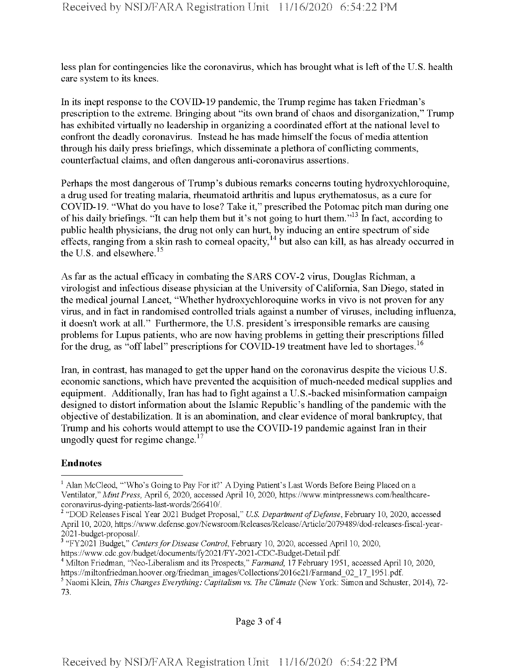less plan for contingencies like the coronavirus, which has brought what is left ofthe U.S. health care system to its knees.

In its inept response to the COVID-19 pandemic, the Trump regime has taken Friedman's prescription to the extreme. Bringing about "its own brand of chaos and disorganization," Trump has exhibited virtually no leadership in organizing a coordinated effort at the national level to confront the deadly coronavirus. Instead he has made himself the focus of media attention through his daily press briefings, which disseminate a plethora of conflicting comments, counterfactual claims, and often dangerous anti-coronavirus assertions.

Perhaps the most dangerous of Trump's dubious remarks concerns touting hydroxychloroquine, a drug used for treating malaria, rheumatoid arthritis and lupus erythematosus, as a cure for COVID-19. "What do you have to lose? Take it," prescribed the Potomac pitch man during one ofhis daily briefings. "It can help them but it's not going to hurt them."13 In fact, according to public health physicians, the drug not only can hurt, by inducing an entire spectrum of side effects, ranging from a skin rash to corneal opacity,  $^{14}$  but also can kill, as has already occurred in the U.S. and elsewhere. $15$ 

As far as the actual efficacy in combating the SARS COV-2 virus, Douglas Richman, a virologist and infectious disease physician at the University of California, San Diego, stated in the medical journal Lancet, "Whether hydroxychloroquine works in vivo is not proven for any virus, and in fact in randomised controlled trials against a number of viruses, including influenza, it doesn't work at all." Furthermore, the U.S. president's irresponsible remarks are causing problems for Lupus patients, who are now having problems in getting their prescriptions filled for the drug, as "off label" prescriptions for COVID-19 treatment have led to shortages.<sup>16</sup>

Iran, in contrast, has managed to get the upper hand on the coronavirus despite the vicious U.S. economic sanctions, which have prevented the acquisition of much-needed medical supplies and equipment. Additionally, Iran has had to fight against a U.S.-backed misinformation campaign designed to distort information about the Islamic Republic's handling ofthe pandemic with the objective of destabilization. It is an abomination, and clear evidence of moral bankruptcy, that Trump and his cohorts would attempt to use the COVID-19 pandemic against Iran in their ungodly quest for regime change.<sup>17</sup>

## **Endnotes**

<sup>&</sup>lt;sup>1</sup> Alan McCleod, "'Who's Going to Pay For it?' A Dying Patient's Last Words Before Being Placed on a Ventilator," *MintPress,* April 6, 2020, accessed April 10, 2020, https://www.mintpressnews.com/healthcarecoronavirus-dying-patients-last-words/266410/.

<sup>2</sup> "DOD Releases Fiscal Year 2021 Budget Proposal," *U.S. Department ofDefense,* February 10, 2020, accessed April 10, 2020, https://www.defense.gov/Newsroom/Releases/Release/Article/2079489/dod-releases-fiscal-year-2021-budget-proposal/.

<sup>3</sup> "FY2021 Budget," *CentersforDisease Control,* February 10, 2020, accessed April 10, 2020,

https://www.cdc.gov/budget/documents/fy2021/FY-2021-CDC-Budget-Detail.pdf.

<sup>4</sup> Milton Friedman, "Neo-Liberalism and its Prospects," *Farmand,* 17February 1951, accessed April 10, 2020, https://miltonfriedman.hoover.org/friedman\_images/Collections/2016c21/Farmand\_02\_17\_1951.pdf.

<sup>5</sup> Naomi Klein, *This Changes Everything: Capitalism* vs. *The Climate* (New York: Simon and Schuster, 2014), 72- 73.